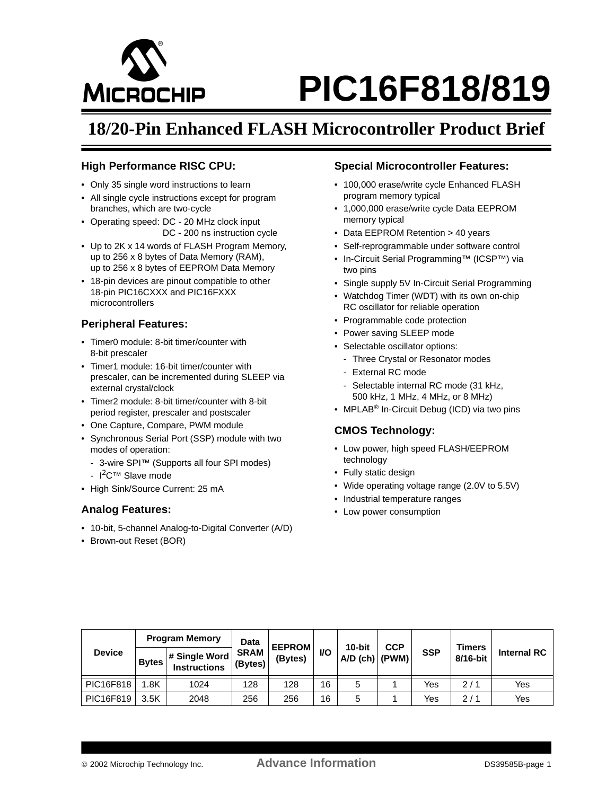

# М**іс**воснір РІС16F818/819

# **18/20-Pin Enhanced FLASH Microcontroller Product Brief**

# **High Performance RISC CPU:**

- Only 35 single word instructions to learn
- All single cycle instructions except for program branches, which are two-cycle
- Operating speed: DC 20 MHz clock input DC - 200 ns instruction cycle
- Up to 2K x 14 words of FLASH Program Memory, up to 256 x 8 bytes of Data Memory (RAM), up to 256 x 8 bytes of EEPROM Data Memory
- 18-pin devices are pinout compatible to other 18-pin PIC16CXXX and PIC16FXXX microcontrollers

# **Peripheral Features:**

- Timer0 module: 8-bit timer/counter with 8-bit prescaler
- Timer1 module: 16-bit timer/counter with prescaler, can be incremented during SLEEP via external crystal/clock
- Timer2 module: 8-bit timer/counter with 8-bit period register, prescaler and postscaler
- One Capture, Compare, PWM module
- Synchronous Serial Port (SSP) module with two modes of operation:
- 3-wire SPI™ (Supports all four SPI modes)
- $I^2C^{\tau M}$  Slave mode
- High Sink/Source Current: 25 mA

# **Analog Features:**

- 10-bit, 5-channel Analog-to-Digital Converter (A/D)
- Brown-out Reset (BOR)

# **Special Microcontroller Features:**

- 100,000 erase/write cycle Enhanced FLASH program memory typical
- 1,000,000 erase/write cycle Data EEPROM memory typical
- Data EEPROM Retention > 40 years
- Self-reprogrammable under software control
- In-Circuit Serial Programming™ (ICSP™) via two pins
- Single supply 5V In-Circuit Serial Programming
- Watchdog Timer (WDT) with its own on-chip RC oscillator for reliable operation
- Programmable code protection
- Power saving SLEEP mode
- Selectable oscillator options:
	- Three Crystal or Resonator modes
	- External RC mode
	- Selectable internal RC mode (31 kHz, 500 kHz, 1 MHz, 4 MHz, or 8 MHz)
- MPLAB<sup>®</sup> In-Circuit Debug (ICD) via two pins

# **CMOS Technology:**

- Low power, high speed FLASH/EEPROM technology
- Fully static design
- Wide operating voltage range (2.0V to 5.5V)
- Industrial temperature ranges
- Low power consumption

| <b>Device</b> | <b>Program Memory</b> |                                      | Data                   | <b>EEPROM</b> |           | 10-bit           | <b>CCP</b> |            | <b>Timers</b> |                    |
|---------------|-----------------------|--------------------------------------|------------------------|---------------|-----------|------------------|------------|------------|---------------|--------------------|
|               | <b>Bytes</b>          | # Single Word<br><b>Instructions</b> | <b>SRAM</b><br>(Bytes) | (Bytes)       | <b>VO</b> | $A/D$ (ch) (PWM) |            | <b>SSP</b> | 8/16-bit      | <b>Internal RC</b> |
| PIC16F818     | .8K                   | 1024                                 | 128                    | 128           | 16        | 5                |            | Yes        | 2/1           | Yes                |
| PIC16F819     | 3.5K                  | 2048                                 | 256                    | 256           | 16        | 5                |            | Yes        | 2/1           | Yes                |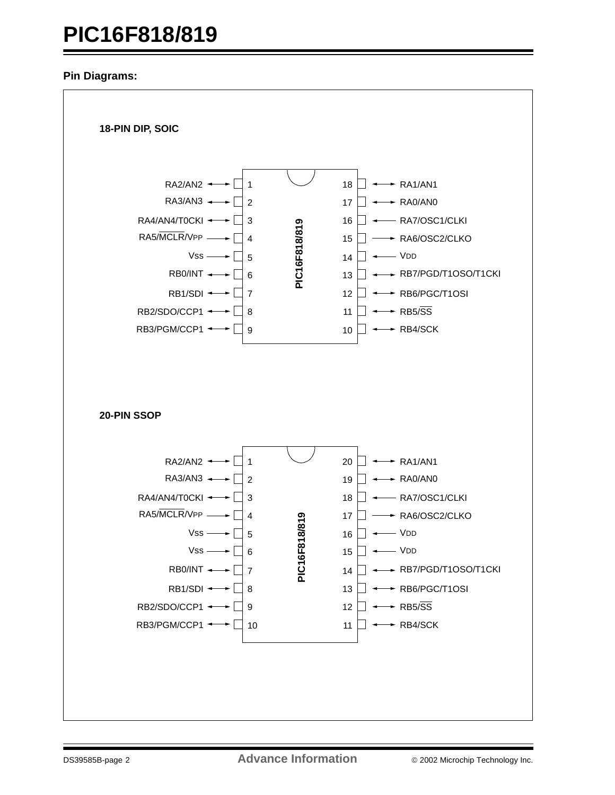# **PIC16F818/819**

# **Pin Diagrams:**

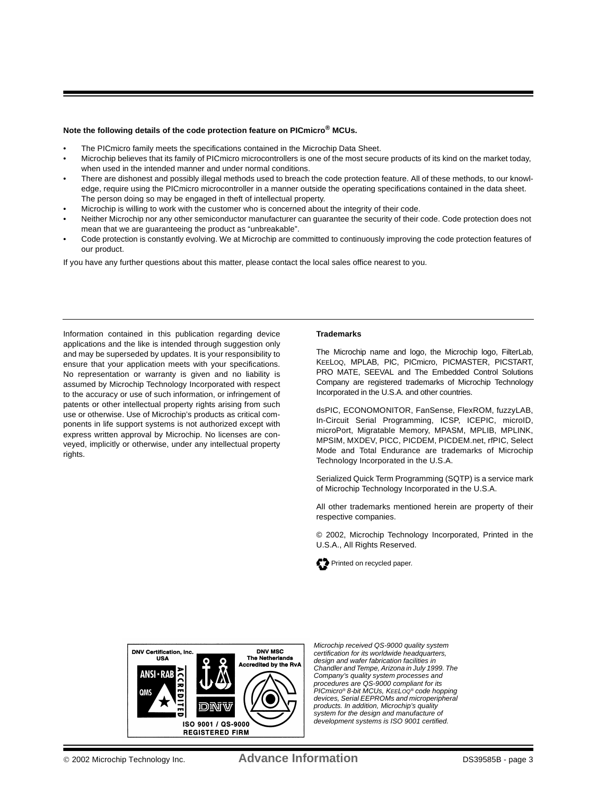## **Note the following details of the code protection feature on PICmicro® MCUs.**

- The PICmicro family meets the specifications contained in the Microchip Data Sheet.
- Microchip believes that its family of PICmicro microcontrollers is one of the most secure products of its kind on the market today, when used in the intended manner and under normal conditions.
- There are dishonest and possibly illegal methods used to breach the code protection feature. All of these methods, to our knowledge, require using the PICmicro microcontroller in a manner outside the operating specifications contained in the data sheet. The person doing so may be engaged in theft of intellectual property.
- Microchip is willing to work with the customer who is concerned about the integrity of their code.
- Neither Microchip nor any other semiconductor manufacturer can guarantee the security of their code. Code protection does not mean that we are guaranteeing the product as "unbreakable".
- Code protection is constantly evolving. We at Microchip are committed to continuously improving the code protection features of our product.

If you have any further questions about this matter, please contact the local sales office nearest to you.

Information contained in this publication regarding device applications and the like is intended through suggestion only and may be superseded by updates. It is your responsibility to ensure that your application meets with your specifications. No representation or warranty is given and no liability is assumed by Microchip Technology Incorporated with respect to the accuracy or use of such information, or infringement of patents or other intellectual property rights arising from such use or otherwise. Use of Microchip's products as critical components in life support systems is not authorized except with express written approval by Microchip. No licenses are conveyed, implicitly or otherwise, under any intellectual property rights.

#### **Trademarks**

The Microchip name and logo, the Microchip logo, FilterLab, KEELOQ, MPLAB, PIC, PICmicro, PICMASTER, PICSTART, PRO MATE, SEEVAL and The Embedded Control Solutions Company are registered trademarks of Microchip Technology Incorporated in the U.S.A. and other countries.

dsPIC, ECONOMONITOR, FanSense, FlexROM, fuzzyLAB, In-Circuit Serial Programming, ICSP, ICEPIC, microID, microPort, Migratable Memory, MPASM, MPLIB, MPLINK, MPSIM, MXDEV, PICC, PICDEM, PICDEM.net, rfPIC, Select Mode and Total Endurance are trademarks of Microchip Technology Incorporated in the U.S.A.

Serialized Quick Term Programming (SQTP) is a service mark of Microchip Technology Incorporated in the U.S.A.

All other trademarks mentioned herein are property of their respective companies.

© 2002, Microchip Technology Incorporated, Printed in the U.S.A., All Rights Reserved.





*Microchip received QS-9000 quality system certification for its worldwide headquarters, design and wafer fabrication facilities in Chandler and Tempe, Arizona in July 1999. The Company's quality system processes and procedures are QS-9000 compliant for its PICmicro® 8-bit MCUs, KEELOQ® code hopping devices, Serial EEPROMs and microperipheral products. In addition, Microchip's quality system for the design and manufacture of development systems is ISO 9001 certified.*